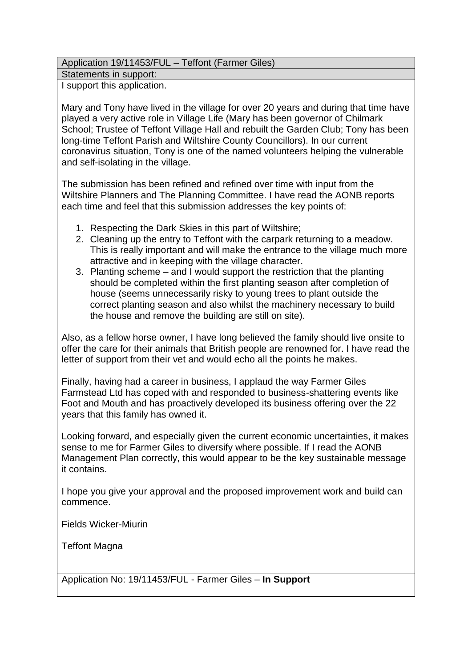## Application 19/11453/FUL – Teffont (Farmer Giles)

Statements in support:

I support this application.

Mary and Tony have lived in the village for over 20 years and during that time have played a very active role in Village Life (Mary has been governor of Chilmark School; Trustee of Teffont Village Hall and rebuilt the Garden Club; Tony has been long-time Teffont Parish and Wiltshire County Councillors). In our current coronavirus situation, Tony is one of the named volunteers helping the vulnerable and self-isolating in the village.

The submission has been refined and refined over time with input from the Wiltshire Planners and The Planning Committee. I have read the AONB reports each time and feel that this submission addresses the key points of:

- 1. Respecting the Dark Skies in this part of Wiltshire;
- 2. Cleaning up the entry to Teffont with the carpark returning to a meadow. This is really important and will make the entrance to the village much more attractive and in keeping with the village character.
- 3. Planting scheme and I would support the restriction that the planting should be completed within the first planting season after completion of house (seems unnecessarily risky to young trees to plant outside the correct planting season and also whilst the machinery necessary to build the house and remove the building are still on site).

Also, as a fellow horse owner, I have long believed the family should live onsite to offer the care for their animals that British people are renowned for. I have read the letter of support from their vet and would echo all the points he makes.

Finally, having had a career in business, I applaud the way Farmer Giles Farmstead Ltd has coped with and responded to business-shattering events like Foot and Mouth and has proactively developed its business offering over the 22 years that this family has owned it.

Looking forward, and especially given the current economic uncertainties, it makes sense to me for Farmer Giles to diversify where possible. If I read the AONB Management Plan correctly, this would appear to be the key sustainable message it contains.

I hope you give your approval and the proposed improvement work and build can commence.

Fields Wicker-Miurin

Teffont Magna

Application No: 19/11453/FUL - Farmer Giles – **In Support**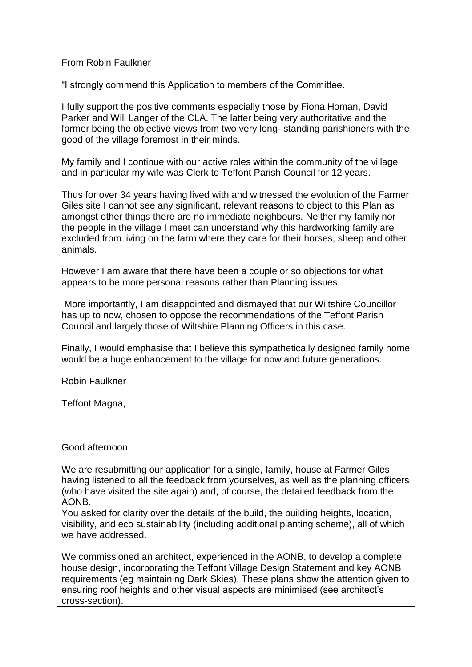From Robin Faulkner

"I strongly commend this Application to members of the Committee.

I fully support the positive comments especially those by Fiona Homan, David Parker and Will Langer of the CLA. The latter being very authoritative and the former being the objective views from two very long- standing parishioners with the good of the village foremost in their minds.

My family and I continue with our active roles within the community of the village and in particular my wife was Clerk to Teffont Parish Council for 12 years.

Thus for over 34 years having lived with and witnessed the evolution of the Farmer Giles site I cannot see any significant, relevant reasons to object to this Plan as amongst other things there are no immediate neighbours. Neither my family nor the people in the village I meet can understand why this hardworking family are excluded from living on the farm where they care for their horses, sheep and other animals.

However I am aware that there have been a couple or so objections for what appears to be more personal reasons rather than Planning issues.

More importantly, I am disappointed and dismayed that our Wiltshire Councillor has up to now, chosen to oppose the recommendations of the Teffont Parish Council and largely those of Wiltshire Planning Officers in this case.

Finally, I would emphasise that I believe this sympathetically designed family home would be a huge enhancement to the village for now and future generations.

Robin Faulkner

Teffont Magna,

Good afternoon,

We are resubmitting our application for a single, family, house at Farmer Giles having listened to all the feedback from yourselves, as well as the planning officers (who have visited the site again) and, of course, the detailed feedback from the AONB.

You asked for clarity over the details of the build, the building heights, location, visibility, and eco sustainability (including additional planting scheme), all of which we have addressed.

We commissioned an architect, experienced in the AONB, to develop a complete house design, incorporating the Teffont Village Design Statement and key AONB requirements (eg maintaining Dark Skies). These plans show the attention given to ensuring roof heights and other visual aspects are minimised (see architect's cross-section).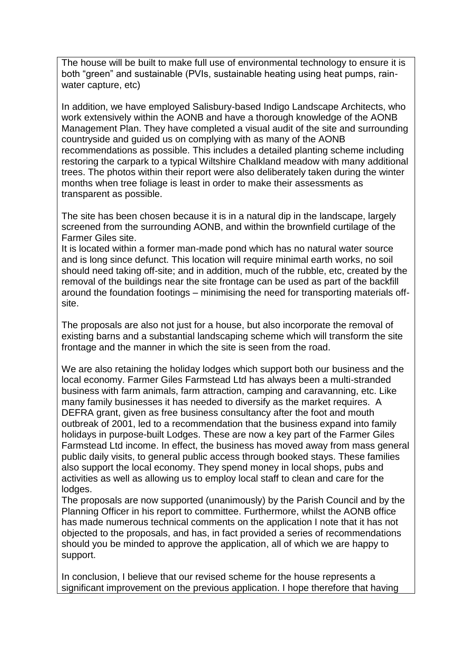The house will be built to make full use of environmental technology to ensure it is both "green" and sustainable (PVIs, sustainable heating using heat pumps, rainwater capture, etc)

In addition, we have employed Salisbury-based Indigo Landscape Architects, who work extensively within the AONB and have a thorough knowledge of the AONB Management Plan. They have completed a visual audit of the site and surrounding countryside and guided us on complying with as many of the AONB recommendations as possible. This includes a detailed planting scheme including restoring the carpark to a typical Wiltshire Chalkland meadow with many additional trees. The photos within their report were also deliberately taken during the winter months when tree foliage is least in order to make their assessments as transparent as possible.

The site has been chosen because it is in a natural dip in the landscape, largely screened from the surrounding AONB, and within the brownfield curtilage of the Farmer Giles site.

It is located within a former man-made pond which has no natural water source and is long since defunct. This location will require minimal earth works, no soil should need taking off-site; and in addition, much of the rubble, etc, created by the removal of the buildings near the site frontage can be used as part of the backfill around the foundation footings – minimising the need for transporting materials offsite.

The proposals are also not just for a house, but also incorporate the removal of existing barns and a substantial landscaping scheme which will transform the site frontage and the manner in which the site is seen from the road.

We are also retaining the holiday lodges which support both our business and the local economy. Farmer Giles Farmstead Ltd has always been a multi-stranded business with farm animals, farm attraction, camping and caravanning, etc. Like many family businesses it has needed to diversify as the market requires. A DEFRA grant, given as free business consultancy after the foot and mouth outbreak of 2001, led to a recommendation that the business expand into family holidays in purpose-built Lodges. These are now a key part of the Farmer Giles Farmstead Ltd income. In effect, the business has moved away from mass general public daily visits, to general public access through booked stays. These families also support the local economy. They spend money in local shops, pubs and activities as well as allowing us to employ local staff to clean and care for the lodges.

The proposals are now supported (unanimously) by the Parish Council and by the Planning Officer in his report to committee. Furthermore, whilst the AONB office has made numerous technical comments on the application I note that it has not objected to the proposals, and has, in fact provided a series of recommendations should you be minded to approve the application, all of which we are happy to support.

In conclusion, I believe that our revised scheme for the house represents a significant improvement on the previous application. I hope therefore that having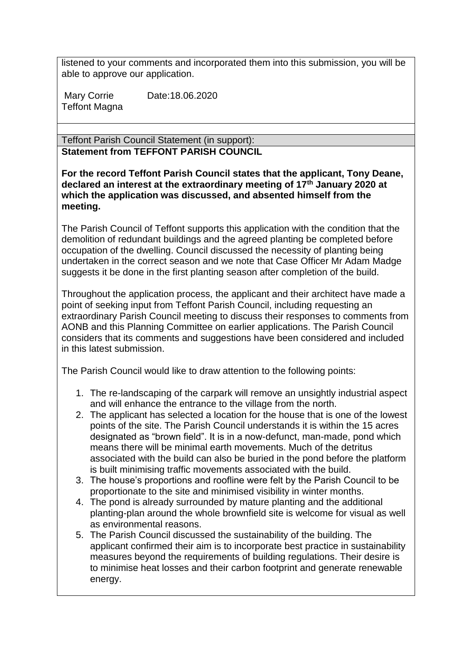listened to your comments and incorporated them into this submission, you will be able to approve our application.

Mary Corrie Date: 18.06.2020 Teffont Magna

Teffont Parish Council Statement (in support): **Statement from TEFFONT PARISH COUNCIL**

**For the record Teffont Parish Council states that the applicant, Tony Deane, declared an interest at the extraordinary meeting of 17th January 2020 at which the application was discussed, and absented himself from the meeting.**

The Parish Council of Teffont supports this application with the condition that the demolition of redundant buildings and the agreed planting be completed before occupation of the dwelling. Council discussed the necessity of planting being undertaken in the correct season and we note that Case Officer Mr Adam Madge suggests it be done in the first planting season after completion of the build.

Throughout the application process, the applicant and their architect have made a point of seeking input from Teffont Parish Council, including requesting an extraordinary Parish Council meeting to discuss their responses to comments from AONB and this Planning Committee on earlier applications. The Parish Council considers that its comments and suggestions have been considered and included in this latest submission.

The Parish Council would like to draw attention to the following points:

- 1. The re-landscaping of the carpark will remove an unsightly industrial aspect and will enhance the entrance to the village from the north.
- 2. The applicant has selected a location for the house that is one of the lowest points of the site. The Parish Council understands it is within the 15 acres designated as "brown field". It is in a now-defunct, man-made, pond which means there will be minimal earth movements. Much of the detritus associated with the build can also be buried in the pond before the platform is built minimising traffic movements associated with the build.
- 3. The house's proportions and roofline were felt by the Parish Council to be proportionate to the site and minimised visibility in winter months.
- 4. The pond is already surrounded by mature planting and the additional planting-plan around the whole brownfield site is welcome for visual as well as environmental reasons.
- 5. The Parish Council discussed the sustainability of the building. The applicant confirmed their aim is to incorporate best practice in sustainability measures beyond the requirements of building regulations. Their desire is to minimise heat losses and their carbon footprint and generate renewable energy.